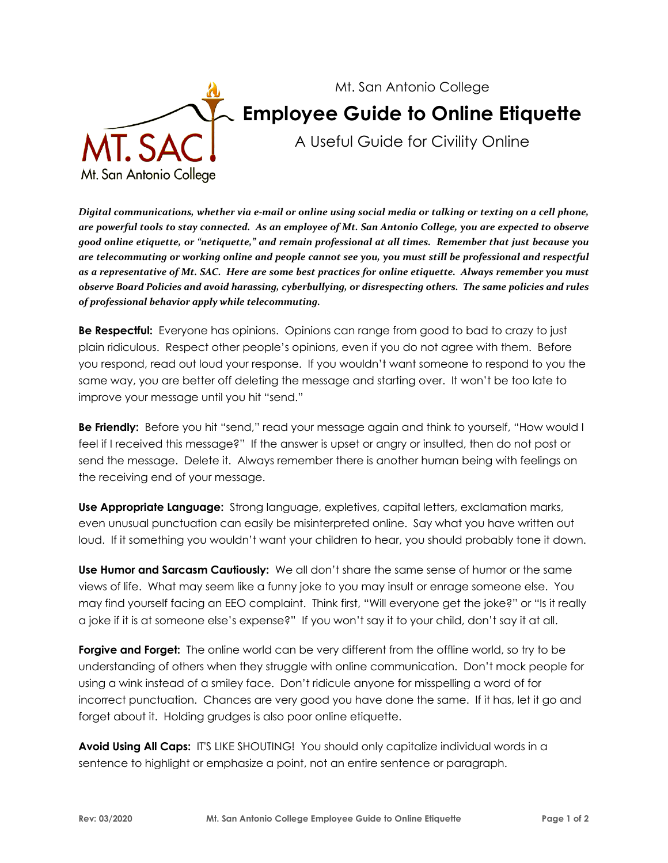

## Mt. San Antonio College **Employee Guide to Online Etiquette**

A Useful Guide for Civility Online

 *Digital communications, whether via e-mail or online using social media or talking or texting on a cell phone, are powerful tools to stay connected. As an employee of Mt. San Antonio College, you are expected to observe good online etiquette, or "netiquette," and remain professional at all times. Remember that just because you are telecommuting or working online and people cannot see you, you must still be professional and respectful as a representative of Mt. SAC. Here are some best practices for online etiquette. Always remember you must observe Board Policies and avoid harassing, cyberbullying, or disrespecting others. The same policies and rules of professional behavior apply while telecommuting.* 

 **Be Respectful:** Everyone has opinions. Opinions can range from good to bad to crazy to just plain ridiculous. Respect other people's opinions, even if you do not agree with them. Before you respond, read out loud your response. If you wouldn't want someone to respond to you the same way, you are better off deleting the message and starting over. It won't be too late to improve your message until you hit "send."

 **Be Friendly:** Before you hit "send," read your message again and think to yourself, "How would I feel if I received this message?" If the answer is upset or angry or insulted, then do not post or send the message. Delete it. Always remember there is another human being with feelings on the receiving end of your message.

 **Use Appropriate Language:** Strong language, expletives, capital letters, exclamation marks, even unusual punctuation can easily be misinterpreted online. Say what you have written out loud. If it something you wouldn't want your children to hear, you should probably tone it down.

 **Use Humor and Sarcasm Cautiously:** We all don't share the same sense of humor or the same views of life. What may seem like a funny joke to you may insult or enrage someone else. You may find yourself facing an EEO complaint. Think first, "Will everyone get the joke?" or "Is it really a joke if it is at someone else's expense?" If you won't say it to your child, don't say it at all.

 **Forgive and Forget:** The online world can be very different from the offline world, so try to be understanding of others when they struggle with online communication. Don't mock people for using a wink instead of a smiley face. Don't ridicule anyone for misspelling a word of for incorrect punctuation. Chances are very good you have done the same. If it has, let it go and forget about it. Holding grudges is also poor online etiquette.

 **Avoid Using All Caps:** IT'S LIKE SHOUTING! You should only capitalize individual words in a sentence to highlight or emphasize a point, not an entire sentence or paragraph.